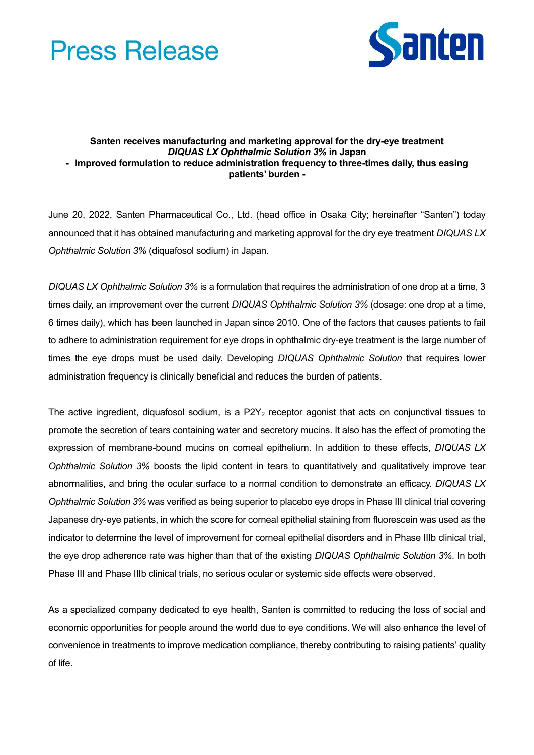



## **Santen receives manufacturing and marketing approval for the dry-eye treatment**  *DIQUAS LX Ophthalmic Solution 3%* **in Japan - Improved formulation to reduce administration frequency to three-times daily, thus easing patients' burden -**

June 20, 2022, Santen Pharmaceutical Co., Ltd. (head office in Osaka City; hereinafter "Santen") today announced that it has obtained manufacturing and marketing approval for the dry eye treatment *DIQUAS LX Ophthalmic Solution 3%* (diquafosol sodium) in Japan.

*DIQUAS LX Ophthalmic Solution 3%* is a formulation that requires the administration of one drop at a time, 3 times daily, an improvement over the current *DIQUAS Ophthalmic Solution 3%* (dosage: one drop at a time, 6 times daily), which has been launched in Japan since 2010. One of the factors that causes patients to fail to adhere to administration requirement for eye drops in ophthalmic dry-eye treatment is the large number of times the eye drops must be used daily. Developing *DIQUAS Ophthalmic Solution* that requires lower administration frequency is clinically beneficial and reduces the burden of patients.

The active ingredient, diquafosol sodium, is a  $P2Y_2$  receptor agonist that acts on conjunctival tissues to promote the secretion of tears containing water and secretory mucins. It also has the effect of promoting the expression of membrane-bound mucins on corneal epithelium. In addition to these effects, *DIQUAS LX Ophthalmic Solution 3%* boosts the lipid content in tears to quantitatively and qualitatively improve tear abnormalities, and bring the ocular surface to a normal condition to demonstrate an efficacy. *DIQUAS LX Ophthalmic Solution 3%* was verified as being superior to placebo eye drops in Phase III clinical trial covering Japanese dry-eye patients, in which the score for corneal epithelial staining from fluorescein was used as the indicator to determine the level of improvement for corneal epithelial disorders and in Phase IIIb clinical trial, the eye drop adherence rate was higher than that of the existing *DIQUAS Ophthalmic Solution 3%*. In both Phase III and Phase IIIb clinical trials, no serious ocular or systemic side effects were observed.

As a specialized company dedicated to eye health, Santen is committed to reducing the loss of social and economic opportunities for people around the world due to eye conditions. We will also enhance the level of convenience in treatments to improve medication compliance, thereby contributing to raising patients' quality of life.